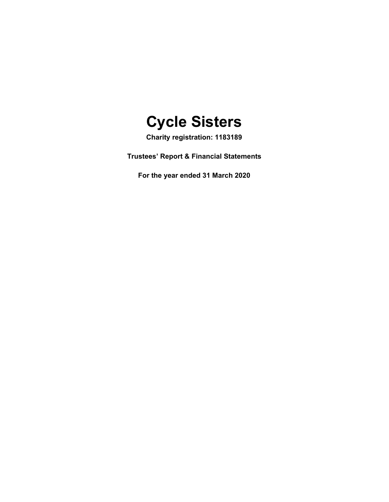

**Charity registration: 1183189**

**Trustees' Report & Financial Statements**

**For the year ended 31 March 2020**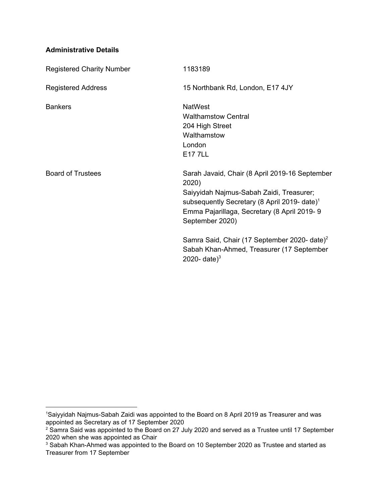# **Administrative Details**

| <b>Registered Charity Number</b> | 1183189                                                                                                                                                                                                                           |
|----------------------------------|-----------------------------------------------------------------------------------------------------------------------------------------------------------------------------------------------------------------------------------|
| <b>Registered Address</b>        | 15 Northbank Rd, London, E17 4JY                                                                                                                                                                                                  |
| <b>Bankers</b>                   | <b>NatWest</b><br><b>Walthamstow Central</b><br>204 High Street<br>Walthamstow<br>London<br><b>E177LL</b>                                                                                                                         |
| <b>Board of Trustees</b>         | Sarah Javaid, Chair (8 April 2019-16 September<br>2020)<br>Saiyyidah Najmus-Sabah Zaidi, Treasurer;<br>subsequently Secretary (8 April 2019- date) <sup>1</sup><br>Emma Pajarillaga, Secretary (8 April 2019-9<br>September 2020) |
|                                  | Samra Said, Chair (17 September 2020- date) <sup>2</sup><br>Sabah Khan-Ahmed, Treasurer (17 September<br>2020- date) <sup>3</sup>                                                                                                 |

<sup>1</sup>Saiyyidah Najmus-Sabah Zaidi was appointed to the Board on 8 April 2019 as Treasurer and was appointed as Secretary as of 17 September 2020

<sup>&</sup>lt;sup>2</sup> Samra Said was appointed to the Board on 27 July 2020 and served as a Trustee until 17 September 2020 when she was appointed as Chair

<sup>&</sup>lt;sup>3</sup> Sabah Khan-Ahmed was appointed to the Board on 10 September 2020 as Trustee and started as Treasurer from 17 September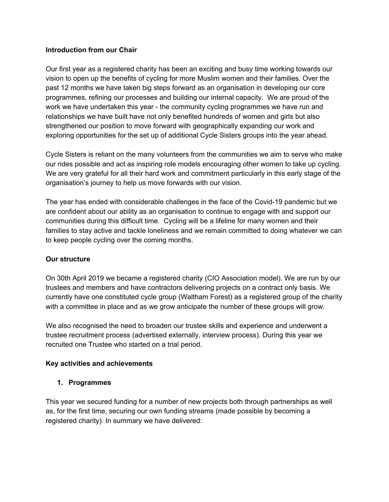## **Introduction from our Chair**

Our first year as a registered charity has been an exciting and busy time working towards our vision to open up the benefits of cycling for more Muslim women and their families. Over the past 12 months we have taken big steps forward as an organisation in developing our core programmes, refining our processes and building our internal capacity. We are proud of the work we have undertaken this year - the community cycling programmes we have run and relationships we have built have not only benefited hundreds of women and girls but also strengthened our position to move forward with geographically expanding our work and exploring opportunities for the set up of additional Cycle Sisters groups into the year ahead.

Cycle Sisters is reliant on the many volunteers from the communities we aim to serve who make our rides possible and act as inspiring role models encouraging other women to take up cycling. We are very grateful for all their hard work and commitment particularly in this early stage of the organisation's journey to help us move forwards with our vision.

The year has ended with considerable challenges in the face of the Covid-19 pandemic but we are confident about our ability as an organisation to continue to engage with and support our communities during this difficult time. Cycling will be a lifeline for many women and their families to stay active and tackle loneliness and we remain committed to doing whatever we can to keep people cycling over the coming months.

## **Our structure**

On 30th April 2019 we became a registered charity (CIO Association model). We are run by our trustees and members and have contractors delivering projects on a contract only basis. We currently have one constituted cycle group (Waltham Forest) as a registered group of the charity with a committee in place and as we grow anticipate the number of these groups will grow.

We also recognised the need to broaden our trustee skills and experience and underwent a trustee recruitment process (advertised externally, interview process). During this year we recruited one Trustee who started on a trial period.

## **Key activities and achievements**

## **1. Programmes**

This year we secured funding for a number of new projects both through partnerships as well as, for the first time, securing our own funding streams (made possible by becoming a registered charity). In summary we have delivered: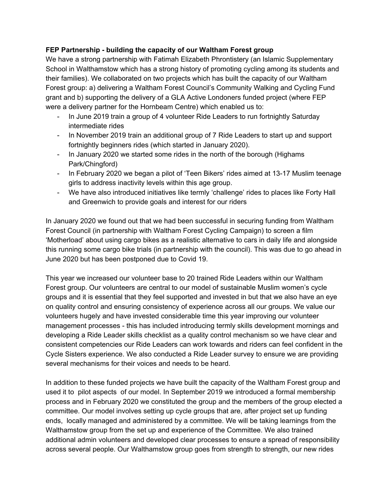# **FEP Partnership - building the capacity of our Waltham Forest group**

We have a strong partnership with Fatimah Elizabeth Phrontistery (an Islamic Supplementary School in Walthamstow which has a strong history of promoting cycling among its students and their families). We collaborated on two projects which has built the capacity of our Waltham Forest group: a) delivering a Waltham Forest Council's Community Walking and Cycling Fund grant and b) supporting the delivery of a GLA Active Londoners funded project (where FEP were a delivery partner for the Hornbeam Centre) which enabled us to:

- In June 2019 train a group of 4 volunteer Ride Leaders to run fortnightly Saturday intermediate rides
- In November 2019 train an additional group of 7 Ride Leaders to start up and support fortnightly beginners rides (which started in January 2020).
- In January 2020 we started some rides in the north of the borough (Highams Park/Chingford)
- In February 2020 we began a pilot of 'Teen Bikers' rides aimed at 13-17 Muslim teenage girls to address inactivity levels within this age group.
- We have also introduced initiatives like termly 'challenge' rides to places like Forty Hall and Greenwich to provide goals and interest for our riders

In January 2020 we found out that we had been successful in securing funding from Waltham Forest Council (in partnership with Waltham Forest Cycling Campaign) to screen a film 'Motherload' about using cargo bikes as a realistic alternative to cars in daily life and alongside this running some cargo bike trials (in partnership with the council). This was due to go ahead in June 2020 but has been postponed due to Covid 19.

This year we increased our volunteer base to 20 trained Ride Leaders within our Waltham Forest group. Our volunteers are central to our model of sustainable Muslim women's cycle groups and it is essential that they feel supported and invested in but that we also have an eye on quality control and ensuring consistency of experience across all our groups. We value our volunteers hugely and have invested considerable time this year improving our volunteer management processes - this has included introducing termly skills development mornings and developing a Ride Leader skills checklist as a quality control mechanism so we have clear and consistent competencies our Ride Leaders can work towards and riders can feel confident in the Cycle Sisters experience. We also conducted a Ride Leader survey to ensure we are providing several mechanisms for their voices and needs to be heard.

In addition to these funded projects we have built the capacity of the Waltham Forest group and used it to pilot aspects of our model. In September 2019 we introduced a formal membership process and in February 2020 we constituted the group and the members of the group elected a committee. Our model involves setting up cycle groups that are, after project set up funding ends, locally managed and administered by a committee. We will be taking learnings from the Walthamstow group from the set up and experience of the Committee. We also trained additional admin volunteers and developed clear processes to ensure a spread of responsibility across several people. Our Walthamstow group goes from strength to strength, our new rides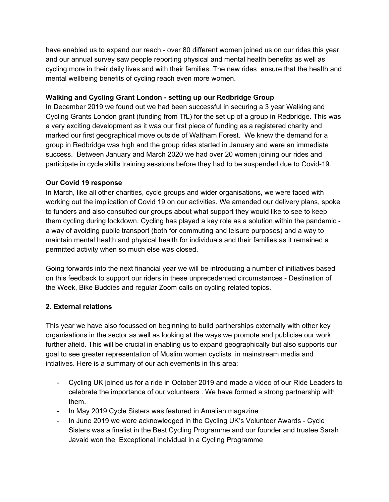have enabled us to expand our reach - over 80 different women joined us on our rides this year and our annual survey saw people reporting physical and mental health benefits as well as cycling more in their daily lives and with their families. The new rides ensure that the health and mental wellbeing benefits of cycling reach even more women.

# **Walking and Cycling Grant London - setting up our Redbridge Group**

In December 2019 we found out we had been successful in securing a 3 year Walking and Cycling Grants London grant (funding from TfL) for the set up of a group in Redbridge. This was a very exciting development as it was our first piece of funding as a registered charity and marked our first geographical move outside of Waltham Forest. We knew the demand for a group in Redbridge was high and the group rides started in January and were an immediate success. Between January and March 2020 we had over 20 women joining our rides and participate in cycle skills training sessions before they had to be suspended due to Covid-19.

# **Our Covid 19 response**

In March, like all other charities, cycle groups and wider organisations, we were faced with working out the implication of Covid 19 on our activities. We amended our delivery plans, spoke to funders and also consulted our groups about what support they would like to see to keep them cycling during lockdown. Cycling has played a key role as a solution within the pandemic a way of avoiding public transport (both for commuting and leisure purposes) and a way to maintain mental health and physical health for individuals and their families as it remained a permitted activity when so much else was closed.

Going forwards into the next financial year we will be introducing a number of initiatives based on this feedback to support our riders in these unprecedented circumstances - Destination of the Week, Bike Buddies and regular Zoom calls on cycling related topics.

# **2. External relations**

This year we have also focussed on beginning to build partnerships externally with other key organisations in the sector as well as looking at the ways we promote and publicise our work further afield. This will be crucial in enabling us to expand geographically but also supports our goal to see greater representation of Muslim women cyclists in mainstream media and intiatives. Here is a summary of our achievements in this area:

- Cycling UK joined us for a ride in October 2019 and made a video of our Ride Leaders to celebrate the importance of our volunteers . We have formed a strong partnership with them.
- In May 2019 Cycle Sisters was featured in Amaliah magazine
- In June 2019 we were acknowledged in the Cycling UK's Volunteer Awards Cycle Sisters was a finalist in the Best Cycling Programme and our founder and trustee Sarah Javaid won the Exceptional Individual in a Cycling Programme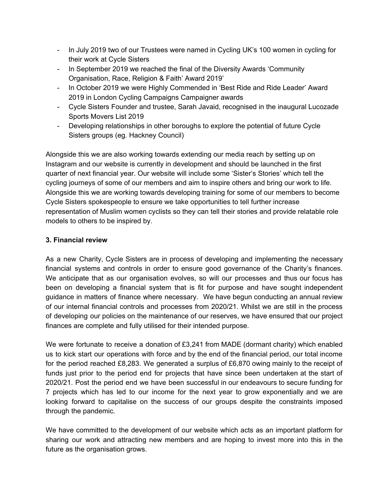- In July 2019 two of our Trustees were named in Cycling UK's 100 women in cycling for their work at Cycle Sisters
- In September 2019 we reached the final of the Diversity Awards 'Community Organisation, Race, Religion & Faith' Award 2019'
- In October 2019 we were Highly Commended in 'Best Ride and Ride Leader' Award 2019 in London Cycling Campaigns Campaigner awards
- Cycle Sisters Founder and trustee, Sarah Javaid, recognised in the inaugural Lucozade Sports Movers List 2019
- Developing relationships in other boroughs to explore the potential of future Cycle Sisters groups (eg. Hackney Council)

Alongside this we are also working towards extending our media reach by setting up on Instagram and our website is currently in development and should be launched in the first quarter of next financial year. Our website will include some 'Sister's Stories' which tell the cycling journeys of some of our members and aim to inspire others and bring our work to life. Alongside this we are working towards developing training for some of our members to become Cycle Sisters spokespeople to ensure we take opportunities to tell further increase representation of Muslim women cyclists so they can tell their stories and provide relatable role models to others to be inspired by.

# **3. Financial review**

As a new Charity, Cycle Sisters are in process of developing and implementing the necessary financial systems and controls in order to ensure good governance of the Charity's finances. We anticipate that as our organisation evolves, so will our processes and thus our focus has been on developing a financial system that is fit for purpose and have sought independent guidance in matters of finance where necessary. We have begun conducting an annual review of our internal financial controls and processes from 2020/21. Whilst we are still in the process of developing our policies on the maintenance of our reserves, we have ensured that our project finances are complete and fully utilised for their intended purpose.

We were fortunate to receive a donation of £3,241 from MADE (dormant charity) which enabled us to kick start our operations with force and by the end of the financial period, our total income for the period reached £8,283. We generated a surplus of £6,870 owing mainly to the receipt of funds just prior to the period end for projects that have since been undertaken at the start of 2020/21. Post the period end we have been successful in our endeavours to secure funding for 7 projects which has led to our income for the next year to grow exponentially and we are looking forward to capitalise on the success of our groups despite the constraints imposed through the pandemic.

We have committed to the development of our website which acts as an important platform for sharing our work and attracting new members and are hoping to invest more into this in the future as the organisation grows.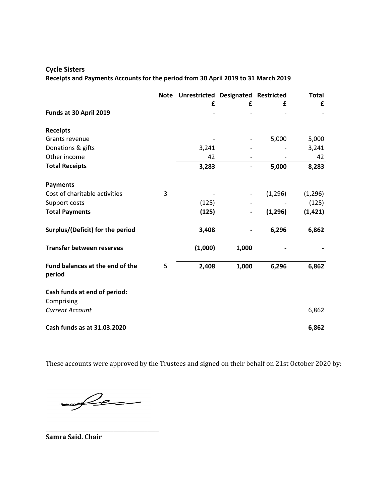# **Cycle Sisters Receipts and Payments Accounts for the period from 30 April 2019 to 31 March 2019**

|                                           |   | Note Unrestricted Designated Restricted |       |          | <b>Total</b> |
|-------------------------------------------|---|-----------------------------------------|-------|----------|--------------|
|                                           |   | £                                       | £     | £        | £            |
| Funds at 30 April 2019                    |   |                                         |       |          |              |
| <b>Receipts</b>                           |   |                                         |       |          |              |
| Grants revenue                            |   |                                         |       | 5,000    | 5,000        |
| Donations & gifts                         |   | 3,241                                   |       |          | 3,241        |
| Other income                              |   | 42                                      |       |          | 42           |
| <b>Total Receipts</b>                     |   | 3,283                                   |       | 5,000    | 8,283        |
| <b>Payments</b>                           |   |                                         |       |          |              |
| Cost of charitable activities             | 3 |                                         |       | (1, 296) | (1, 296)     |
| Support costs                             |   | (125)                                   |       |          | (125)        |
| <b>Total Payments</b>                     |   | (125)                                   |       | (1, 296) | (1, 421)     |
| Surplus/(Deficit) for the period          |   | 3,408                                   |       | 6,296    | 6,862        |
| <b>Transfer between reserves</b>          |   | (1,000)                                 | 1,000 |          |              |
| Fund balances at the end of the<br>period | 5 | 2,408                                   | 1,000 | 6,296    | 6,862        |
| Cash funds at end of period:              |   |                                         |       |          |              |
| Comprising                                |   |                                         |       |          |              |
| <b>Current Account</b>                    |   |                                         |       |          | 6,862        |
| Cash funds as at 31.03.2020               |   |                                         |       |          | 6,862        |

These accounts were approved by the Trustees and signed on their behalf on 21st October 2020 by:

 $f(x) =$ 

\_\_\_\_\_\_\_\_\_\_\_\_\_\_\_\_\_\_\_\_\_\_\_\_\_\_\_\_\_\_\_\_\_\_\_\_\_\_\_\_

**Samra Said. Chair**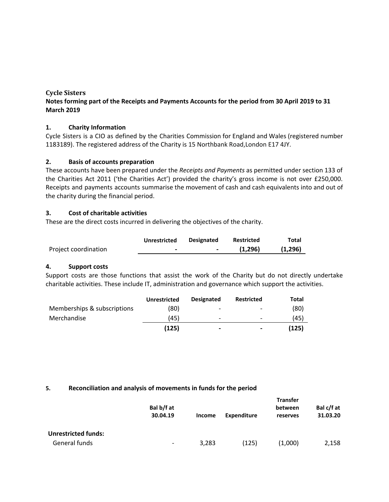## **Cycle Sisters**

# **Notes forming part of the Receipts and Payments Accounts for the period from 30 April 2019 to 31 March 2019**

## **1. Charity Information**

Cycle Sisters is a CIO as defined by the Charities Commission for England and Wales (registered number 1183189). The registered address of the Charity is 15 Northbank Road,London E17 4JY.

## **2. Basis of accounts preparation**

These accounts have been prepared under the *Receipts and Payments* as permitted under section 133 of the Charities Act 2011 ('the Charities Act') provided the charity's gross income is not over £250,000. Receipts and payments accounts summarise the movement of cash and cash equivalents into and out of the charity during the financial period.

### **3. Cost of charitable activities**

These are the direct costs incurred in delivering the objectives of the charity.

|                      | Unrestricted   | <b>Designated</b> | <b>Restricted</b> | Total   |
|----------------------|----------------|-------------------|-------------------|---------|
| Project coordination | $\blacksquare$ |                   | (1.296)           | (1,296) |

### **4. Support costs**

Support costs are those functions that assist the work of the Charity but do not directly undertake charitable activities. These include IT, administration and governance which support the activities.

|                             | <b>Unrestricted</b> | <b>Designated</b> | <b>Restricted</b>        | Total |
|-----------------------------|---------------------|-------------------|--------------------------|-------|
| Memberships & subscriptions | (80)                | -                 | $\overline{\phantom{0}}$ | (80)  |
| Merchandise                 | (45)                | -                 | $\overline{\phantom{a}}$ | (45)  |
|                             | (125)               | $\,$              | $\overline{\phantom{0}}$ | (125) |

### **5. Reconciliation and analysis of movements in funds for the period**

|                            | Bal b/f at<br>30.04.19 | <b>Income</b> | <b>Expenditure</b> | <b>Transfer</b><br>between<br>reserves | Bal c/f at<br>31.03.20 |
|----------------------------|------------------------|---------------|--------------------|----------------------------------------|------------------------|
| <b>Unrestricted funds:</b> |                        |               |                    |                                        |                        |
| General funds              | -                      | 3,283         | (125)              | (1,000)                                | 2,158                  |